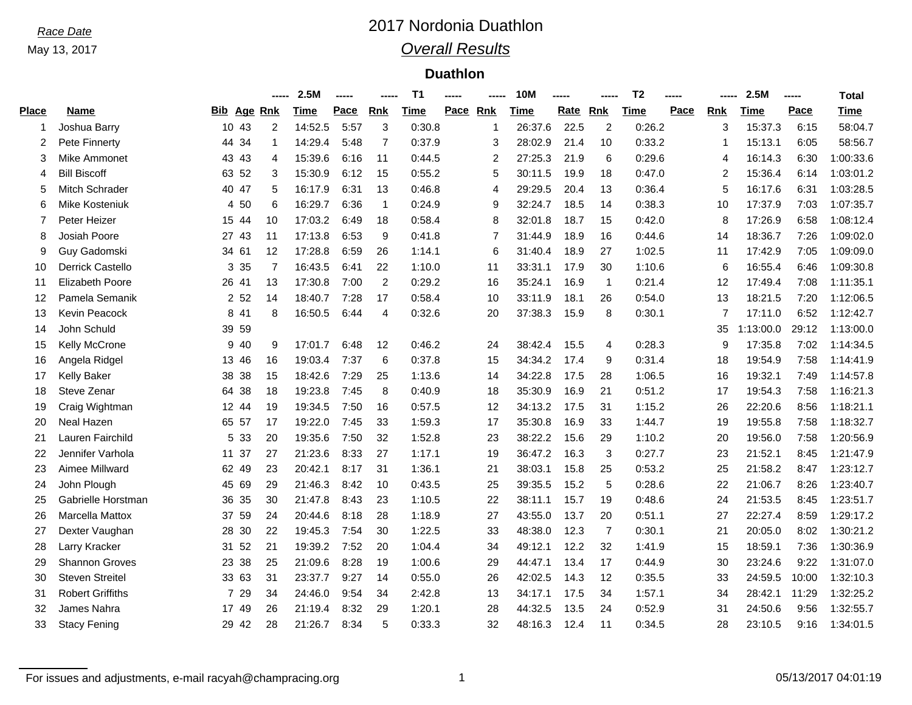May 13, 2017

### *Race Date* 2017 Nordonia Duathlon *Overall Results*

### **Duathlon**

|              |                         |          |                | 2.5M    | ----- |                | T <sub>1</sub> |          |    | <b>10M</b>  | -----       |                | T <sub>2</sub> |      |                | 2.5M      | ----- | <b>Total</b> |
|--------------|-------------------------|----------|----------------|---------|-------|----------------|----------------|----------|----|-------------|-------------|----------------|----------------|------|----------------|-----------|-------|--------------|
| <b>Place</b> | Name                    | Bib      | Age Rnk        | Time    | Pace  | <b>Rnk</b>     | <b>Time</b>    | Pace Rnk |    | <b>Time</b> | <b>Rate</b> | Rnk            | <b>Time</b>    | Pace | <b>Rnk</b>     | Time      | Pace  | Time         |
|              | Joshua Barry            | 10 43    | 2              | 14:52.5 | 5:57  | 3              | 0:30.8         |          | -1 | 26:37.6     | 22.5        | 2              | 0:26.2         |      | 3              | 15:37.3   | 6:15  | 58:04.7      |
|              | Pete Finnerty           | 44 34    | -1             | 14:29.4 | 5:48  | $\overline{7}$ | 0:37.9         |          | 3  | 28:02.9     | 21.4        | 10             | 0:33.2         |      | -1             | 15:13.1   | 6:05  | 58:56.7      |
| 3            | Mike Ammonet            | 43 43    | 4              | 15:39.6 | 6:16  | -11            | 0:44.5         |          | 2  | 27:25.3     | 21.9        | 6              | 0:29.6         |      | $\overline{4}$ | 16:14.3   | 6:30  | 1:00:33.6    |
| 4            | <b>Bill Biscoff</b>     | 63 52    | 3              | 15:30.9 | 6:12  | 15             | 0:55.2         |          | 5  | 30:11.5     | 19.9        | 18             | 0:47.0         |      | $\overline{2}$ | 15:36.4   | 6:14  | 1:03:01.2    |
| 5            | Mitch Schrader          | 40 47    | 5              | 16:17.9 | 6:31  | 13             | 0:46.8         |          | 4  | 29:29.5     | 20.4        | 13             | 0:36.4         |      | 5              | 16:17.6   | 6:31  | 1:03:28.5    |
| 6            | Mike Kosteniuk          | 4 50     | 6              | 16:29.7 | 6:36  | $\mathbf 1$    | 0:24.9         |          | 9  | 32:24.7     | 18.5        | 14             | 0:38.3         |      | 10             | 17:37.9   | 7:03  | 1:07:35.7    |
| 7            | Peter Heizer            | 15 44    | 10             | 17:03.2 | 6:49  | 18             | 0:58.4         |          | 8  | 32:01.8     | 18.7        | 15             | 0:42.0         |      | 8              | 17:26.9   | 6:58  | 1:08:12.4    |
| 8            | Josiah Poore            | 27 43    | 11             | 17:13.8 | 6:53  | 9              | 0:41.8         |          | 7  | 31:44.9     | 18.9        | 16             | 0:44.6         |      | 14             | 18:36.7   | 7:26  | 1:09:02.0    |
| 9            | Guy Gadomski            | 34 61    | 12             | 17:28.8 | 6:59  | 26             | 1:14.1         |          | 6  | 31:40.4     | 18.9        | 27             | 1:02.5         |      | 11             | 17:42.9   | 7:05  | 1:09:09.0    |
| 10           | Derrick Castello        | 3 3 5    | $\overline{7}$ | 16:43.5 | 6:41  | 22             | 1:10.0         |          | 11 | 33:31.1     | 17.9        | 30             | 1:10.6         |      | 6              | 16:55.4   | 6:46  | 1:09:30.8    |
| 11           | <b>Elizabeth Poore</b>  | 26 41    | 13             | 17:30.8 | 7:00  | 2              | 0:29.2         |          | 16 | 35:24.1     | 16.9        | $\mathbf{1}$   | 0:21.4         |      | 12             | 17:49.4   | 7:08  | 1:11:35.1    |
| 12           | Pamela Semanik          | 2 5 2    | 14             | 18:40.7 | 7:28  | 17             | 0:58.4         |          | 10 | 33:11.9     | 18.1        | 26             | 0:54.0         |      | 13             | 18:21.5   | 7:20  | 1:12:06.5    |
| 13           | Kevin Peacock           | 8 41     | 8              | 16:50.5 | 6:44  | 4              | 0:32.6         |          | 20 | 37:38.3     | 15.9        | 8              | 0:30.1         |      | $\overline{7}$ | 17:11.0   | 6:52  | 1:12:42.7    |
| 14           | John Schuld             | 39 59    |                |         |       |                |                |          |    |             |             |                |                |      | 35             | 1:13:00.0 | 29:12 | 1:13:00.0    |
| 15           | Kelly McCrone           | 9 40     | 9              | 17:01.7 | 6:48  | 12             | 0:46.2         |          | 24 | 38:42.4     | 15.5        | 4              | 0:28.3         |      | 9              | 17:35.8   | 7:02  | 1:14:34.5    |
| 16           | Angela Ridgel           | 13 46    | 16             | 19:03.4 | 7:37  | 6              | 0:37.8         |          | 15 | 34:34.2     | 17.4        | 9              | 0:31.4         |      | 18             | 19:54.9   | 7:58  | 1:14:41.9    |
| 17           | <b>Kelly Baker</b>      | 38 38    | 15             | 18:42.6 | 7:29  | 25             | 1:13.6         |          | 14 | 34:22.8     | 17.5        | 28             | 1:06.5         |      | 16             | 19:32.1   | 7:49  | 1:14:57.8    |
| 18           | Steve Zenar             | 64 38    | 18             | 19:23.8 | 7:45  | 8              | 0:40.9         |          | 18 | 35:30.9     | 16.9        | 21             | 0:51.2         |      | 17             | 19:54.3   | 7:58  | 1:16:21.3    |
| 19           | Craig Wightman          | 12 44    | 19             | 19:34.5 | 7:50  | 16             | 0:57.5         |          | 12 | 34:13.2     | 17.5        | 31             | 1:15.2         |      | 26             | 22:20.6   | 8:56  | 1:18:21.1    |
| 20           | Neal Hazen              | 65 57    | 17             | 19:22.0 | 7:45  | 33             | 1:59.3         |          | 17 | 35:30.8     | 16.9        | 33             | 1:44.7         |      | 19             | 19:55.8   | 7:58  | 1:18:32.7    |
| 21           | Lauren Fairchild        | 5<br>33  | 20             | 19:35.6 | 7:50  | 32             | 1:52.8         |          | 23 | 38:22.2     | 15.6        | 29             | 1:10.2         |      | 20             | 19:56.0   | 7:58  | 1:20:56.9    |
| 22           | Jennifer Varhola        | 37<br>11 | 27             | 21:23.6 | 8:33  | 27             | 1:17.1         |          | 19 | 36:47.2     | 16.3        | 3              | 0:27.7         |      | 23             | 21:52.1   | 8:45  | 1:21:47.9    |
| 23           | Aimee Millward          | 62 49    | 23             | 20:42.1 | 8:17  | 31             | 1:36.1         |          | 21 | 38:03.1     | 15.8        | 25             | 0:53.2         |      | 25             | 21:58.2   | 8:47  | 1:23:12.7    |
| 24           | John Plough             | 45 69    | 29             | 21:46.3 | 8:42  | 10             | 0:43.5         |          | 25 | 39:35.5     | 15.2        | 5              | 0:28.6         |      | 22             | 21:06.7   | 8:26  | 1:23:40.7    |
| 25           | Gabrielle Horstman      | 36 35    | 30             | 21:47.8 | 8:43  | 23             | 1:10.5         |          | 22 | 38:11.1     | 15.7        | 19             | 0:48.6         |      | 24             | 21:53.5   | 8:45  | 1:23:51.7    |
| 26           | <b>Marcella Mattox</b>  | 37 59    | 24             | 20:44.6 | 8:18  | 28             | 1:18.9         |          | 27 | 43:55.0     | 13.7        | 20             | 0:51.1         |      | 27             | 22:27.4   | 8:59  | 1:29:17.2    |
| 27           | Dexter Vaughan          | 28 30    | 22             | 19:45.3 | 7:54  | 30             | 1:22.5         |          | 33 | 48:38.0     | 12.3        | $\overline{7}$ | 0:30.1         |      | 21             | 20:05.0   | 8:02  | 1:30:21.2    |
| 28           | Larry Kracker           | 31 52    | 21             | 19:39.2 | 7:52  | 20             | 1:04.4         |          | 34 | 49:12.1     | 12.2        | 32             | 1:41.9         |      | 15             | 18:59.1   | 7:36  | 1:30:36.9    |
| 29           | <b>Shannon Groves</b>   | 23 38    | 25             | 21:09.6 | 8:28  | 19             | 1:00.6         |          | 29 | 44:47.1     | 13.4        | 17             | 0:44.9         |      | 30             | 23:24.6   | 9:22  | 1:31:07.0    |
| 30           | <b>Steven Streitel</b>  | 33 63    | 31             | 23:37.7 | 9:27  | 14             | 0:55.0         |          | 26 | 42:02.5     | 14.3        | 12             | 0:35.5         |      | 33             | 24:59.5   | 10:00 | 1:32:10.3    |
| 31           | <b>Robert Griffiths</b> | 7 29     | 34             | 24:46.0 | 9:54  | 34             | 2:42.8         |          | 13 | 34:17.1     | 17.5        | 34             | 1:57.1         |      | 34             | 28:42.1   | 11:29 | 1:32:25.2    |
| 32           | James Nahra             | 17 49    | 26             | 21:19.4 | 8:32  | 29             | 1:20.1         |          | 28 | 44:32.5     | 13.5        | 24             | 0:52.9         |      | 31             | 24:50.6   | 9:56  | 1:32:55.7    |
| 33           | <b>Stacy Fening</b>     | 29 42    | 28             | 21:26.7 | 8:34  | 5              | 0:33.3         |          | 32 | 48:16.3     | 12.4        | 11             | 0:34.5         |      | 28             | 23:10.5   | 9:16  | 1:34:01.5    |
|              |                         |          |                |         |       |                |                |          |    |             |             |                |                |      |                |           |       |              |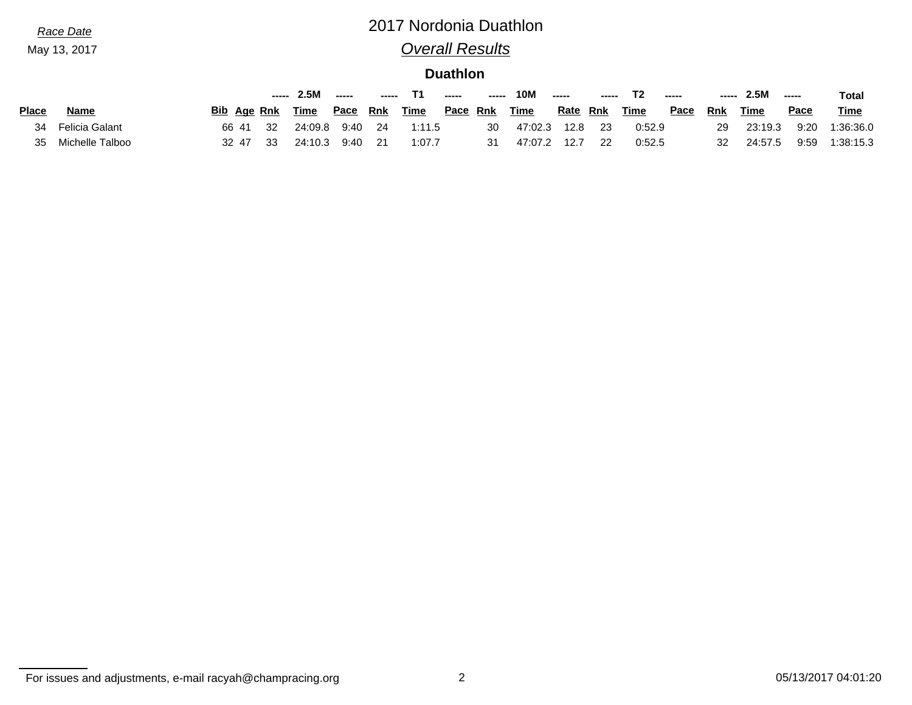May 13, 2017

# *Race Date* 2017 Nordonia Duathlon *Overall Results*

**Duathlon**

|              |                 |             | ----- | 2.5M    | ----- |            |             | ----- | ------   | <b>10M</b>  | $- - - - -$ | $\begin{array}{c} \textbf{} \end{array}$ |        | ------ | -----      | 2.5M    | $\begin{array}{c} \multicolumn{3}{c} {\textbf{1}} & \multicolumn{3}{c} {\textbf{1}} & \multicolumn{3}{c} {\textbf{1}} \\ \multicolumn{3}{c} {\textbf{1}} & \multicolumn{3}{c} {\textbf{1}} & \multicolumn{3}{c} {\textbf{1}} \\ \multicolumn{3}{c} {\textbf{1}} & \multicolumn{3}{c} {\textbf{1}} & \multicolumn{3}{c} {\textbf{1}} \\ \multicolumn{3}{c} {\textbf{1}} & \multicolumn{3}{c} {\textbf{1}} & \multicolumn{3}{c} {\textbf{1}} \\ \multicolumn{3}{c} {\textbf{1}} & \multicolumn{$ | <b>Total</b> |
|--------------|-----------------|-------------|-------|---------|-------|------------|-------------|-------|----------|-------------|-------------|------------------------------------------|--------|--------|------------|---------|------------------------------------------------------------------------------------------------------------------------------------------------------------------------------------------------------------------------------------------------------------------------------------------------------------------------------------------------------------------------------------------------------------------------------------------------------------------------------------------------|--------------|
| <b>Place</b> | Name            | Bib Age Rnk |       | Time    | Pace  | <b>Rnk</b> | <u>Time</u> |       | Pace Rnk | <u>Time</u> | Rate        | <b>Rnk</b>                               | Time   | Pace   | <b>Rnk</b> | Time    | <u>Pace</u>                                                                                                                                                                                                                                                                                                                                                                                                                                                                                    | <b>Time</b>  |
| 34           | Felicia Galant  | 66 41       | 32    | 24:09.8 | 9:40  | -24        | 1:11.5      |       | 30       | 47:02.3     | 12.8        | 23                                       | 0:52.9 |        | 29         | 23:19.3 | 9:20                                                                                                                                                                                                                                                                                                                                                                                                                                                                                           | 1:36:36.0    |
| 35           | Michelle Talboo | 32 47       | 33    | 24:10.3 | 9:40  |            | 1:07.7      |       | 31       | 47:07.2     | 12.7        | 22                                       | 0:52.5 |        | 32         | 24:57.5 | 9:59                                                                                                                                                                                                                                                                                                                                                                                                                                                                                           | 1:38:15.3    |

For issues and adjustments, e-mail racyah@champracing.org 2 2 05/13/2017 04:01:20